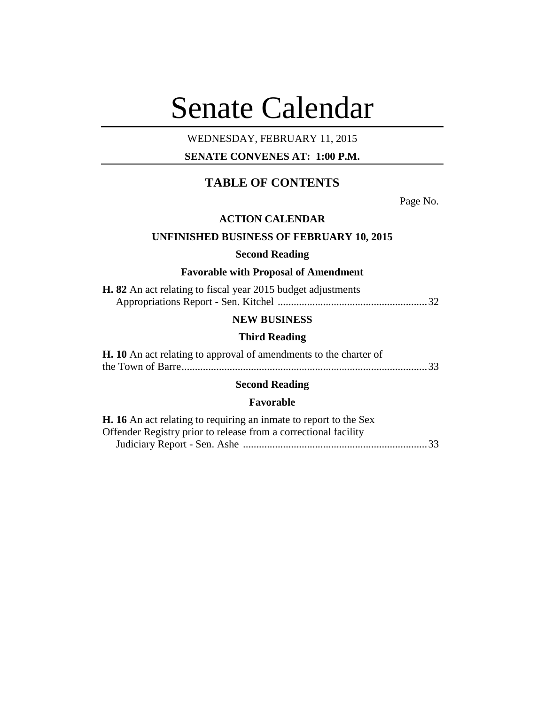# Senate Calendar

# WEDNESDAY, FEBRUARY 11, 2015

# **SENATE CONVENES AT: 1:00 P.M.**

# **TABLE OF CONTENTS**

Page No.

#### **ACTION CALENDAR**

# **UNFINISHED BUSINESS OF FEBRUARY 10, 2015**

#### **Second Reading**

# **Favorable with Proposal of Amendment**

| <b>H. 82</b> An act relating to fiscal year 2015 budget adjustments |  |
|---------------------------------------------------------------------|--|
|                                                                     |  |

## **NEW BUSINESS**

#### **Third Reading**

| <b>H.</b> 10 An act relating to approval of amendments to the charter of |  |
|--------------------------------------------------------------------------|--|
|                                                                          |  |

# **Second Reading**

## **Favorable**

| <b>H.</b> 16 An act relating to requiring an inmate to report to the Sex |  |
|--------------------------------------------------------------------------|--|
| Offender Registry prior to release from a correctional facility          |  |
|                                                                          |  |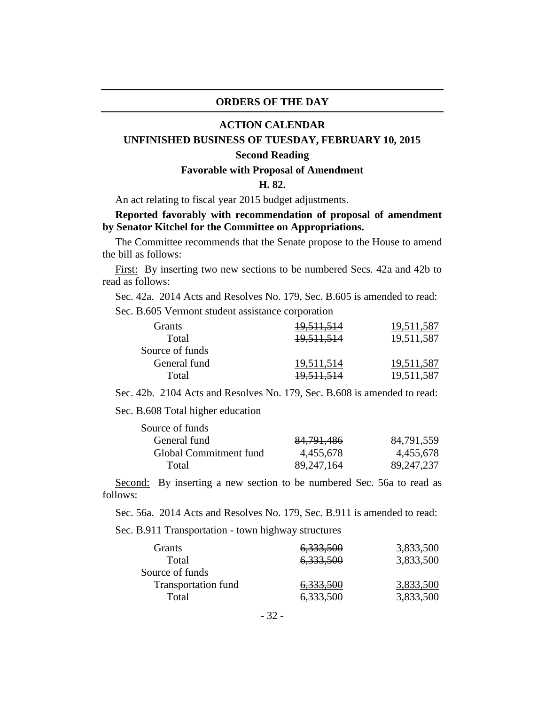#### **ORDERS OF THE DAY**

#### **ACTION CALENDAR**

#### **UNFINISHED BUSINESS OF TUESDAY, FEBRUARY 10, 2015**

#### **Second Reading**

#### **Favorable with Proposal of Amendment**

#### **H. 82.**

An act relating to fiscal year 2015 budget adjustments.

## **Reported favorably with recommendation of proposal of amendment by Senator Kitchel for the Committee on Appropriations.**

The Committee recommends that the Senate propose to the House to amend the bill as follows:

First: By inserting two new sections to be numbered Secs. 42a and 42b to read as follows:

Sec. 42a. 2014 Acts and Resolves No. 179, Sec. B.605 is amended to read:

Sec. B.605 Vermont student assistance corporation

| Grants          | <del>19,511,514</del> | 19,511,587 |
|-----------------|-----------------------|------------|
| Total           | 19,511,514            | 19,511,587 |
| Source of funds |                       |            |
| General fund    | <del>19.511.514</del> | 19,511,587 |
| Total           | <del>19,511,514</del> | 19,511,587 |
|                 |                       |            |

Sec. 42b. 2104 Acts and Resolves No. 179, Sec. B.608 is amended to read:

Sec. B.608 Total higher education

| 84, 791, 486 | 84,791,559   |
|--------------|--------------|
| 4,455,678    | 4,455,678    |
| 89,247,164   | 89, 247, 237 |
|              |              |

Second: By inserting a new section to be numbered Sec. 56a to read as follows:

Sec. 56a. 2014 Acts and Resolves No. 179, Sec. B.911 is amended to read:

Sec. B.911 Transportation - town highway structures

| Grants              | 6,333,500 | 3,833,500 |
|---------------------|-----------|-----------|
| Total               | 6,333,500 | 3,833,500 |
| Source of funds     |           |           |
| Transportation fund | 6,333,500 | 3,833,500 |
| Total               | 6,333,500 | 3,833,500 |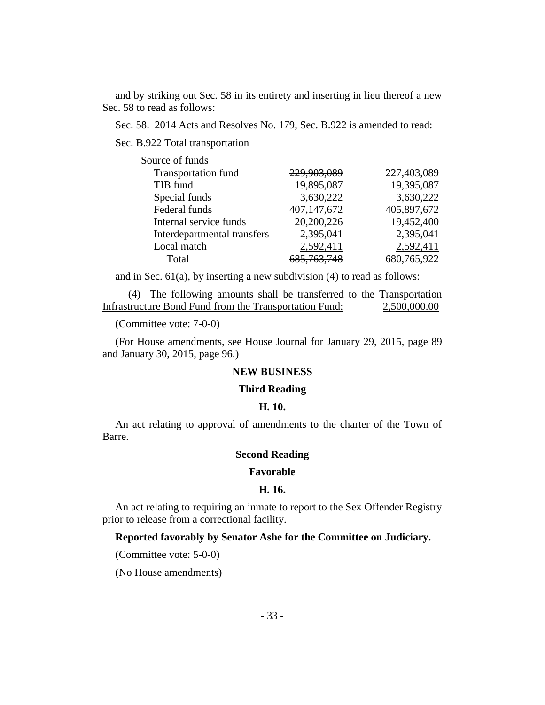and by striking out Sec. 58 in its entirety and inserting in lieu thereof a new Sec. 58 to read as follows:

Sec. 58. 2014 Acts and Resolves No. 179, Sec. B.922 is amended to read:

Sec. B.922 Total transportation

| 229,903,089   | 227,403,089 |
|---------------|-------------|
| 19,895,087    | 19,395,087  |
| 3,630,222     | 3,630,222   |
| 407, 147, 672 | 405,897,672 |
| 20,200,226    | 19,452,400  |
| 2,395,041     | 2,395,041   |
| 2,592,411     | 2,592,411   |
| 5.763.74      | 680,765,922 |
|               |             |

and in Sec.  $61(a)$ , by inserting a new subdivision (4) to read as follows:

(4) The following amounts shall be transferred to the Transportation Infrastructure Bond Fund from the Transportation Fund: 2,500,000.00

(Committee vote: 7-0-0)

(For House amendments, see House Journal for January 29, 2015, page 89 and January 30, 2015, page 96.)

#### **NEW BUSINESS**

#### **Third Reading**

#### **H. 10.**

An act relating to approval of amendments to the charter of the Town of Barre.

#### **Second Reading**

#### **Favorable**

#### **H. 16.**

An act relating to requiring an inmate to report to the Sex Offender Registry prior to release from a correctional facility.

#### **Reported favorably by Senator Ashe for the Committee on Judiciary.**

(Committee vote: 5-0-0)

(No House amendments)